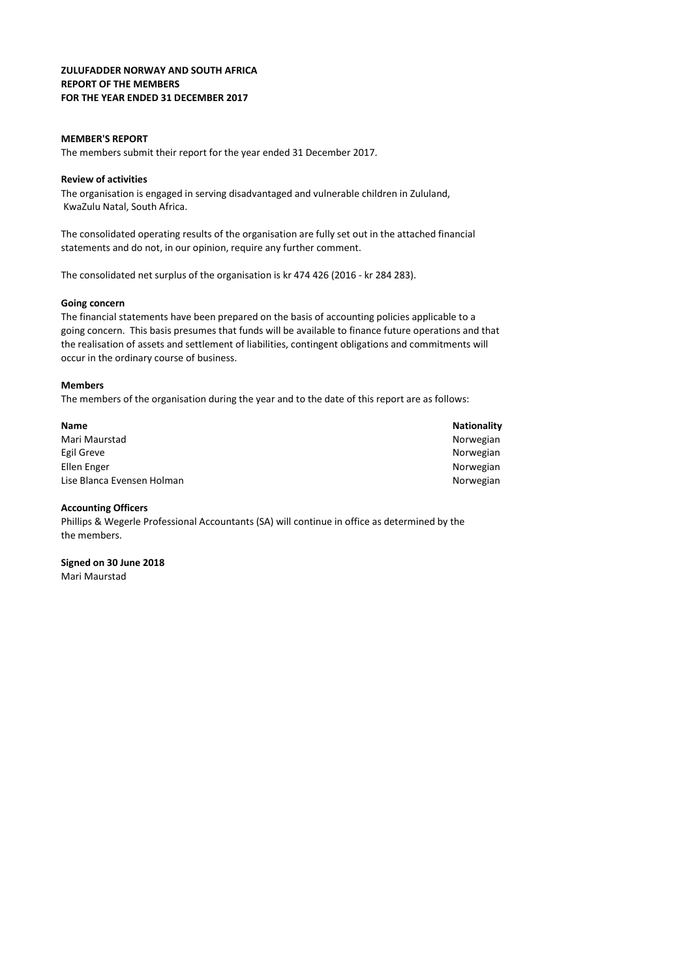### ZULUFADDER NORWAY AND SOUTH AFRICA REPORT OF THE MEMBERS FOR THE YEAR ENDED 31 DECEMBER 2017

### MEMBER'S REPORT

The members submit their report for the year ended 31 December 2017.

### Review of activities

 KwaZulu Natal, South Africa. The organisation is engaged in serving disadvantaged and vulnerable children in Zululand,

statements and do not, in our opinion, require any further comment. The consolidated operating results of the organisation are fully set out in the attached financial

The consolidated net surplus of the organisation is kr 474 426 (2016 - kr 284 283).

### Going concern

The financial statements have been prepared on the basis of accounting policies applicable to a going concern. This basis presumes that funds will be available to finance future operations and that the realisation of assets and settlement of liabilities, contingent obligations and commitments will occur in the ordinary course of business.

#### Members

The members of the organisation during the year and to the date of this report are as follows:

| <b>Name</b>                | <b>Nationality</b> |
|----------------------------|--------------------|
| Mari Maurstad              | Norwegian          |
| Egil Greve                 | Norwegian          |
| Ellen Enger                | Norwegian          |
| Lise Blanca Evensen Holman | Norwegian          |

#### Accounting Officers

the members. Phillips & Wegerle Professional Accountants (SA) will continue in office as determined by the

Signed on 30 June 2018 Mari Maurstad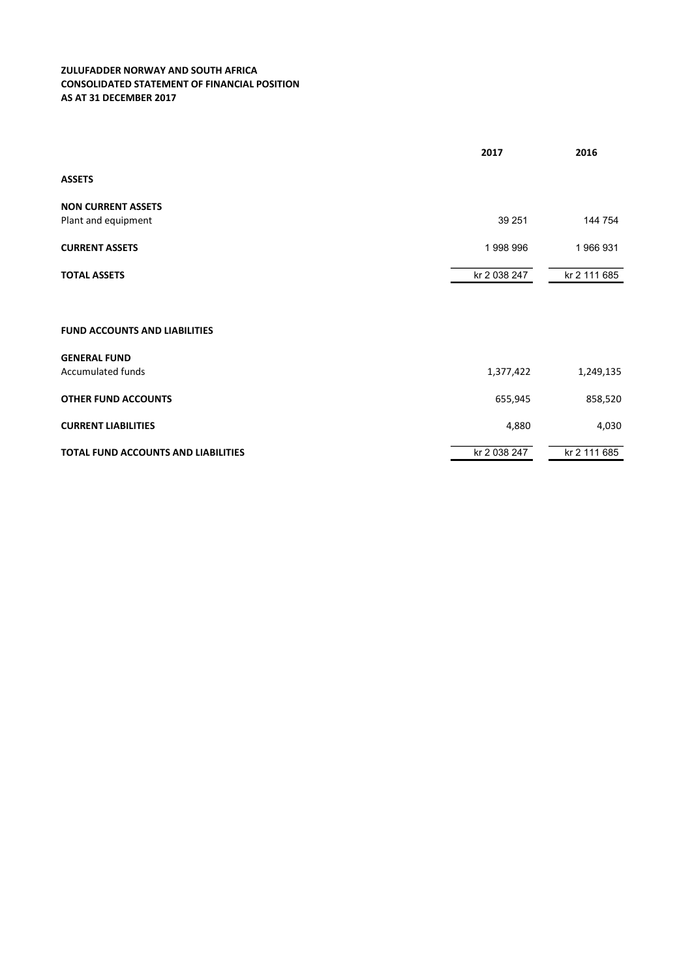# ZULUFADDER NORWAY AND SOUTH AFRICA CONSOLIDATED STATEMENT OF FINANCIAL POSITION AS AT 31 DECEMBER 2017

|                                            | 2017         | 2016         |
|--------------------------------------------|--------------|--------------|
| <b>ASSETS</b>                              |              |              |
| <b>NON CURRENT ASSETS</b>                  |              |              |
| Plant and equipment                        | 39 251       | 144 754      |
| <b>CURRENT ASSETS</b>                      | 1998996      | 1966931      |
| <b>TOTAL ASSETS</b>                        | kr 2 038 247 | kr 2 111 685 |
|                                            |              |              |
| <b>FUND ACCOUNTS AND LIABILITIES</b>       |              |              |
| <b>GENERAL FUND</b>                        |              |              |
| <b>Accumulated funds</b>                   | 1,377,422    | 1,249,135    |
| <b>OTHER FUND ACCOUNTS</b>                 | 655,945      | 858,520      |
| <b>CURRENT LIABILITIES</b>                 | 4,880        | 4,030        |
| <b>TOTAL FUND ACCOUNTS AND LIABILITIES</b> | kr 2 038 247 | kr 2 111 685 |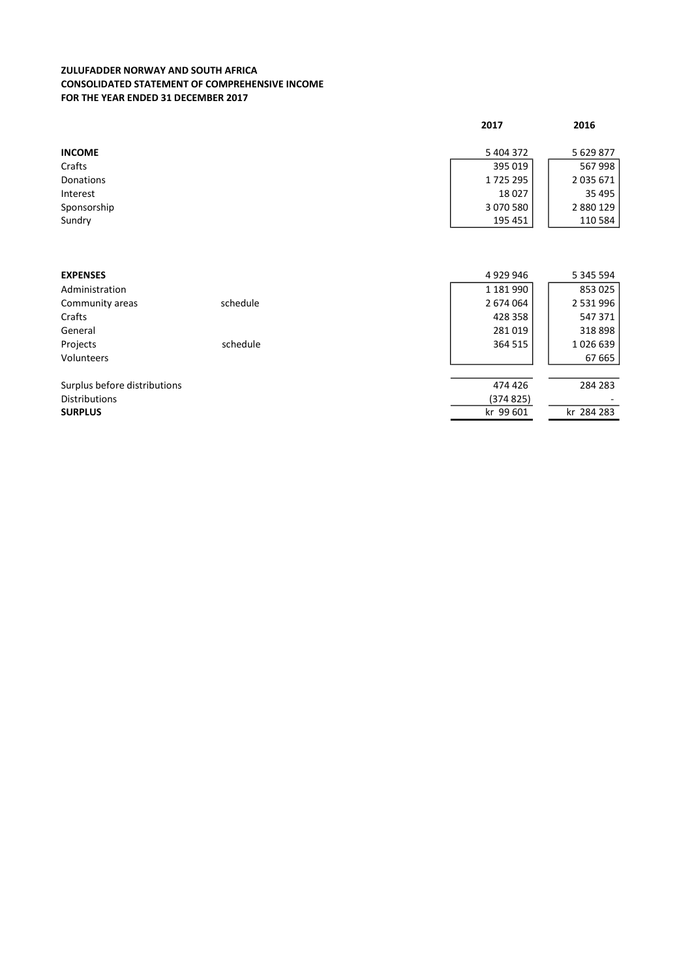# ZULUFADDER NORWAY AND SOUTH AFRICA CONSOLIDATED STATEMENT OF COMPREHENSIVE INCOME FOR THE YEAR ENDED 31 DECEMBER 2017

|                              |          | 2017      | 2016          |
|------------------------------|----------|-----------|---------------|
| <b>INCOME</b>                |          | 5 404 372 | 5 629 877     |
| Crafts                       |          | 395 019   | 567998        |
| Donations                    |          | 1725295   | 2035671       |
| Interest                     |          | 18027     | 35 495        |
| Sponsorship                  |          | 3 070 580 | 2 880 129     |
| Sundry                       |          | 195 451   | 110 584       |
|                              |          |           |               |
|                              |          |           |               |
| <b>EXPENSES</b>              |          | 4929946   | 5 345 594     |
| Administration               |          | 1 181 990 | 853 025       |
| Community areas              | schedule | 2 674 064 | 2 5 3 1 9 9 6 |
| Crafts                       |          | 428 358   | 547 371       |
| General                      |          | 281019    | 318898        |
| Projects                     | schedule | 364 515   | 1026639       |
| Volunteers                   |          |           | 67 665        |
| Surplus before distributions |          | 474 426   | 284 283       |
| <b>Distributions</b>         |          | (374 825) |               |
| <b>SURPLUS</b>               |          | kr 99 601 | kr 284 283    |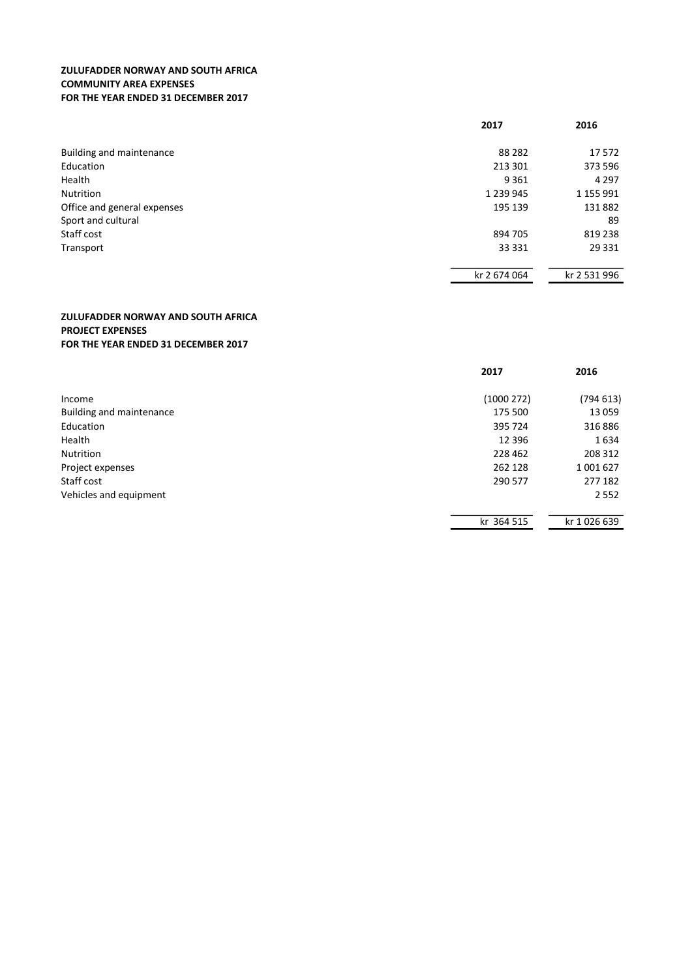# ZULUFADDER NORWAY AND SOUTH AFRICA COMMUNITY AREA EXPENSES FOR THE YEAR ENDED 31 DECEMBER 2017

|                             | 2017          | 2016         |
|-----------------------------|---------------|--------------|
| Building and maintenance    | 88 28 2       | 17 572       |
| Education                   | 213 301       | 373 596      |
| Health                      | 9 3 6 1       | 4 2 9 7      |
| Nutrition                   | 1 2 3 9 9 4 5 | 1 155 991    |
| Office and general expenses | 195 139       | 131882       |
| Sport and cultural          |               | 89           |
| Staff cost                  | 894 705       | 819 238      |
| Transport                   | 33 331        | 29 3 31      |
|                             | kr 2 674 064  | kr 2 531 996 |

# ZULUFADDER NORWAY AND SOUTH AFRICA PROJECT EXPENSES FOR THE YEAR ENDED 31 DECEMBER 2017

|                          | 2017       | 2016        |
|--------------------------|------------|-------------|
| Income                   | (1000272)  | (794613)    |
| Building and maintenance | 175 500    | 13 0 59     |
| Education                | 395 724    | 316886      |
| Health                   | 12 3 96    | 1634        |
| Nutrition                | 228 462    | 208 312     |
| Project expenses         | 262 128    | 1 001 627   |
| Staff cost               | 290 577    | 277 182     |
| Vehicles and equipment   |            | 2 5 5 2     |
|                          | kr 364 515 | kr 1026 639 |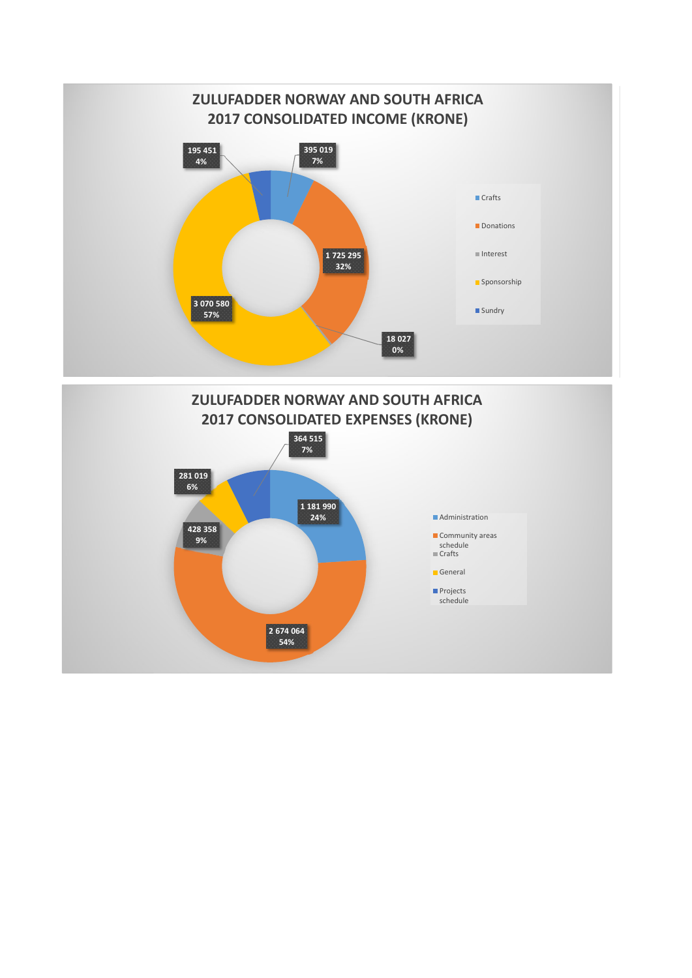